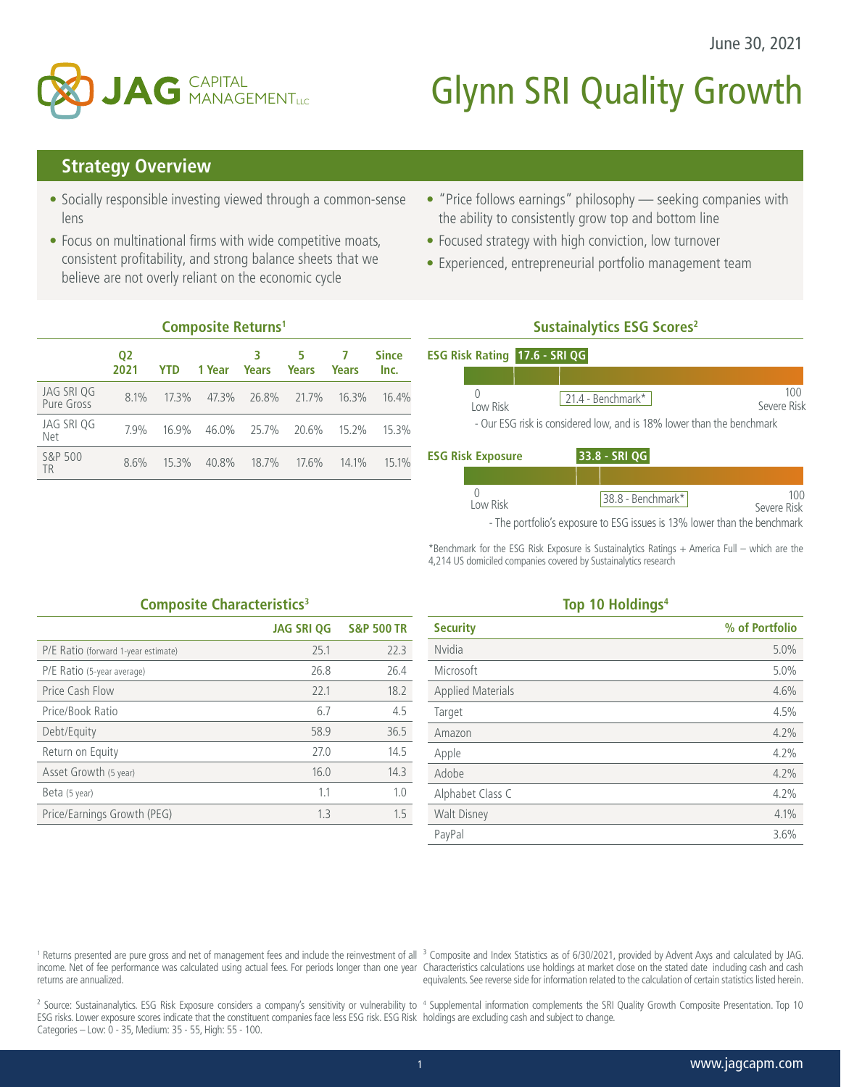

# **Glynn SRI Quality Growth**

## **Strategy Overview**

- Socially responsible investing viewed through a common-sense lens
- Focus on multinational firms with wide competitive moats, consistent profitability, and strong balance sheets that we believe are not overly reliant on the economic cycle
- "Price follows earnings" philosophy seeking companies with the ability to consistently grow top and bottom line
- Focused strategy with high conviction, low turnover
- Experienced, entrepreneurial portfolio management team

|                          | 02<br>2021 | <b>YTD</b> | 1 Year            | 3<br>Years  | 5<br>Years | <b>Years</b> | <b>Since</b><br>Inc. |
|--------------------------|------------|------------|-------------------|-------------|------------|--------------|----------------------|
| JAG SRI QG<br>Pure Gross | 8.1%       | $17.3\%$   | 47.3% 26.8% 21.7% |             |            | 16.3%        | 16.4%                |
| JAG SRI QG<br>Net        | $7.9\%$    | 16.9%      | 46.0% 25.7% 20.6% |             |            | $15.2\%$     | 15.3%                |
| S&P 500<br><b>TR</b>     | 8.6%       | $15.3\%$   | 40.8%             | 18.7% 17.6% |            | $14.1\%$     | $15.1\%$             |

**Composite Returns1**

# **Sustainalytics ESG Scores2**

|                          | <b>ESG Risk Rating 17.6 - SRI QG</b> |                   |                                                                       |                    |
|--------------------------|--------------------------------------|-------------------|-----------------------------------------------------------------------|--------------------|
|                          |                                      |                   |                                                                       |                    |
| Low Risk                 |                                      | 21.4 - Benchmark* |                                                                       | 100<br>Severe Risk |
|                          |                                      |                   | - Our ESG risk is considered low, and is 18% lower than the benchmark |                    |
| <b>ESG Risk Exposure</b> |                                      | $33.8 - SRI QG$   |                                                                       |                    |

| I ow Risk |  | $ 38.8 - \text{Benchmark*} $ | Severe Risk |
|-----------|--|------------------------------|-------------|

- The portfolio's exposure to ESG issues is 13% lower than the benchmark

\*Benchmark for the ESG Risk Exposure is Sustainalytics Ratings + America Full – which are the 4,214 US domiciled companies covered by Sustainalytics research

### **Composite Characteristics<sup>3</sup>**

|                                     | <b>JAG SRI QG</b> | <b>S&amp;P 500 TR</b> |
|-------------------------------------|-------------------|-----------------------|
| P/E Ratio (forward 1-year estimate) | 25.1              | 22.3                  |
| P/E Ratio (5-year average)          | 26.8              | 26.4                  |
| Price Cash Flow                     | 22.1              | 18.2                  |
| Price/Book Ratio                    | 6.7               | 4.5                   |
| Debt/Equity                         | 58.9              | 36.5                  |
| Return on Equity                    | 27.0              | 14.5                  |
| Asset Growth (5 year)               | 16.0              | 14.3                  |
| Beta (5 year)                       | 1.1               | 1.0                   |
| Price/Earnings Growth (PEG)         | 1.3               | 1.5                   |

#### **Top 10 Holdings4**

| <b>Security</b>          | % of Portfolio |
|--------------------------|----------------|
| Nvidia                   | 5.0%           |
| Microsoft                | 5.0%           |
| <b>Applied Materials</b> | 4.6%           |
| Target                   | 4.5%           |
| Amazon                   | 4.2%           |
| Apple                    | 4.2%           |
| Adobe                    | 4.2%           |
| Alphabet Class C         | 4.2%           |
| <b>Walt Disney</b>       | 4.1%           |
| PayPal                   | 3.6%           |

returns are annualized.

<sup>1</sup> Returns presented are pure gross and net of management fees and include the reinvestment of all <sup>3</sup> Composite and Index Statistics as of 6/30/2021, provided by Advent Axys and calculated by JAG. income. Net of fee performance was calculated using actual fees. For periods longer than one year Characteristics calculations use holdings at market close on the stated date including cash and cash equivalents. See reverse side for information related to the calculation of certain statistics listed herein.

<sup>2</sup> Source: Sustainanalytics. ESG Risk Exposure considers a company's sensitivity or vulnerability to <sup>4</sup> Supplemental information complements the SRI Quality Growth Composite Presentation. Top 10 ESG risks. Lower exposure scores indicate that the constituent companies face less ESG risk. ESG Risk holdings are excluding cash and subject to change. Categories – Low: 0 - 35, Medium: 35 - 55, High: 55 - 100.